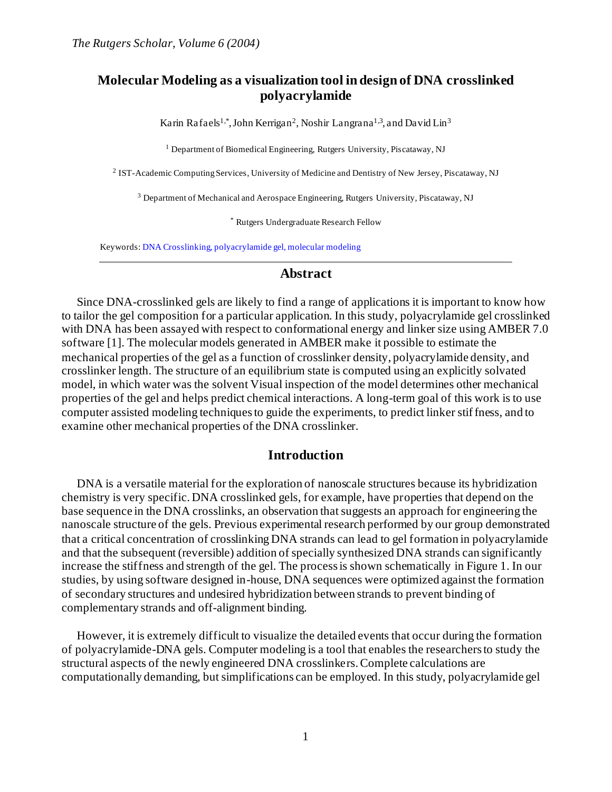# **Molecular Modeling as a visualization tool in design of DNA crosslinked polyacrylamide**

Karin Rafaels<sup>1,\*</sup>, John Kerrigan<sup>2</sup>, Noshir Langrana<sup>1,3</sup>, and David Lin<sup>3</sup>

<sup>1</sup> Department of Biomedical Engineering, Rutgers University, Piscataway, NJ

<sup>2</sup> IST-Academic Computing Services, University of Medicine and Dentistry of New Jersey, Piscataway, NJ

<sup>3</sup> Department of Mechanical and Aerospace Engineering, Rutgers University, Piscataway, NJ

\* Rutgers Undergraduate Research Fellow

Keywords: DNA Crosslinking, polyacrylamide gel, molecular modeling

#### **Abstract**

Since DNA-crosslinked gels are likely to find a range of applications it is important to know how to tailor the gel composition for a particular application. In this study, polyacrylamide gel crosslinked with DNA has been assayed with respect to conformational energy and linker size using AMBER 7.0 software [1]. The molecular models generated in AMBER make it possible to estimate the mechanical properties of the gel as a function of crosslinker density, polyacrylamide density, and crosslinker length. The structure of an equilibrium state is computed using an explicitly solvated model, in which water was the solvent Visual inspection of the model determines other mechanical properties of the gel and helps predict chemical interactions. A long-term goal of this work is to use computer assisted modeling techniques to guide the experiments, to predict linker stiffness, and to examine other mechanical properties of the DNA crosslinker.

### **Introduction**

DNA is a versatile material for the exploration of nanoscale structures because its hybridization chemistry is very specific. DNA crosslinked gels, for example, have properties that depend on the base sequence in the DNA crosslinks, an observation that suggests an approach for engineering the nanoscale structure of the gels. Previous experimental research performed by our group demonstrated that a critical concentration of crosslinking DNA strands can lead to gel formation in polyacrylamide and that the subsequent (reversible) addition of specially synthesized DNA strands can significantly increase the stiffness and strength of the gel. The process is shown schematically in Figure 1. In our studies, by using software designed in-house, DNA sequences were optimized against the formation of secondary structures and undesired hybridization between strands to prevent binding of complementary strands and off-alignment binding.

However, it is extremely difficult to visualize the detailed events that occur during the formation of polyacrylamide-DNA gels. Computer modeling is a tool that enables the researchers to study the structural aspects of the newly engineered DNA crosslinkers. Complete calculations are computationally demanding, but simplifications can be employed. In this study, polyacrylamide gel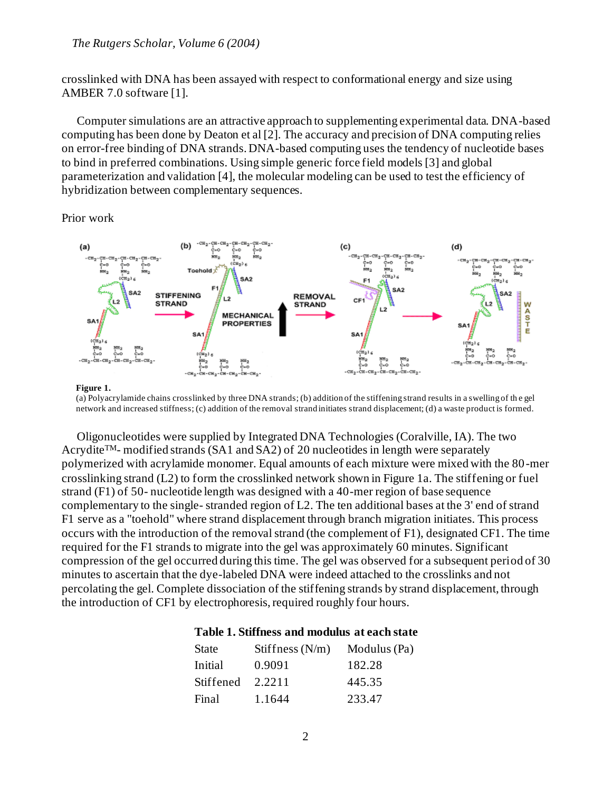#### *The Rutgers Scholar, Volume 6 (2004)*

crosslinked with DNA has been assayed with respect to conformational energy and size using AMBER 7.0 software [1].

Computer simulations are an attractive approach to supplementing experimental data. DNA-based computing has been done by Deaton et al [2]. The accuracy and precision of DNA computing relies on error-free binding of DNA strands. DNA-based computing uses the tendency of nucleotide bases to bind in preferred combinations. Using simple generic force field models [3] and global parameterization and validation [4], the molecular modeling can be used to test the efficiency of hybridization between complementary sequences.

Prior work



#### **Figure 1.**

(a) Polyacrylamide chains crosslinked by three DNA strands; (b) addition of the stiffening strand results in a swelling of th e gel network and increased stiffness; (c) addition of the removal strand initiates strand displacement; (d) a waste product is formed.

Oligonucleotides were supplied by Integrated DNA Technologies (Coralville, IA). The two Acrydite<sup>TM</sup>- modified strands (SA1 and SA2) of 20 nucleotides in length were separately polymerized with acrylamide monomer. Equal amounts of each mixture were mixed with the 80-mer crosslinking strand (L2) to form the crosslinked network shown in Figure 1a. The stiffening or fuel strand (F1) of 50- nucleotide length was designed with a 40-mer region of base sequence complementary to the single- stranded region of L2. The ten additional bases at the 3' end of strand F1 serve as a "toehold" where strand displacement through branch migration initiates. This process occurs with the introduction of the removal strand (the complement of F1), designated CF1. The time required for the F1 strands to migrate into the gel was approximately 60 minutes. Significant compression of the gel occurred during this time. The gel was observed for a subsequent period of 30 minutes to ascertain that the dye-labeled DNA were indeed attached to the crosslinks and not percolating the gel. Complete dissociation of the stiffening strands by strand displacement, through the introduction of CF1 by electrophoresis, required roughly four hours.

### **Table 1. Stiffness and modulus at each state**

| <b>State</b> | Stiffness $(N/m)$ | Modulus (Pa) |  |  |  |
|--------------|-------------------|--------------|--|--|--|
| Initial      | 0.9091            | 182.28       |  |  |  |
| Stiffened    | 2.2211            | 445.35       |  |  |  |
| Final        | 1.1644            | 233.47       |  |  |  |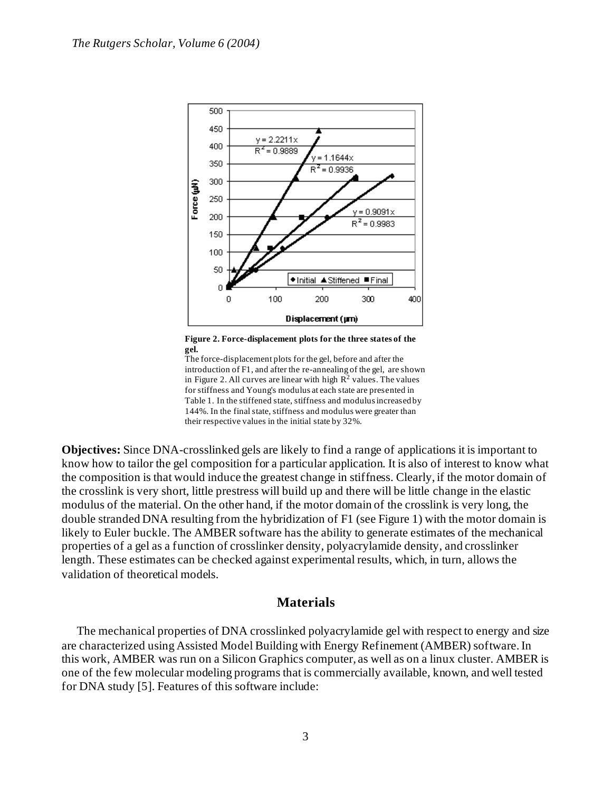

**Figure 2. Force-displacement plots for the three states of the gel.**

The force-displacement plots for the gel, before and after the introduction of F1, and after the re-annealing of the gel, are shown in Figure 2. All curves are linear with high  $R^2$  values. The values for stiffness and Young's modulus at each state are presented in Table 1. In the stiffened state, stiffness and modulus increased by 144%. In the final state, stiffness and modulus were greater than their respective values in the initial state by 32%.

**Objectives:** Since DNA-crosslinked gels are likely to find a range of applications it is important to know how to tailor the gel composition for a particular application. It is also of interest to know what the composition is that would induce the greatest change in stiffness. Clearly, if the motor domain of the crosslink is very short, little prestress will build up and there will be little change in the elastic modulus of the material. On the other hand, if the motor domain of the crosslink is very long, the double stranded DNA resulting from the hybridization of F1 (see Figure 1) with the motor domain is likely to Euler buckle. The AMBER software has the ability to generate estimates of the mechanical properties of a gel as a function of crosslinker density, polyacrylamide density, and crosslinker length. These estimates can be checked against experimental results, which, in turn, allows the validation of theoretical models.

# **Materials**

The mechanical properties of DNA crosslinked polyacrylamide gel with respect to energy and size are characterized using Assisted Model Building with Energy Refinement (AMBER) software. In this work, AMBER was run on a Silicon Graphics computer, as well as on a linux cluster. AMBER is one of the few molecular modeling programs that is commercially available, known, and well tested for DNA study [5]. Features of this software include: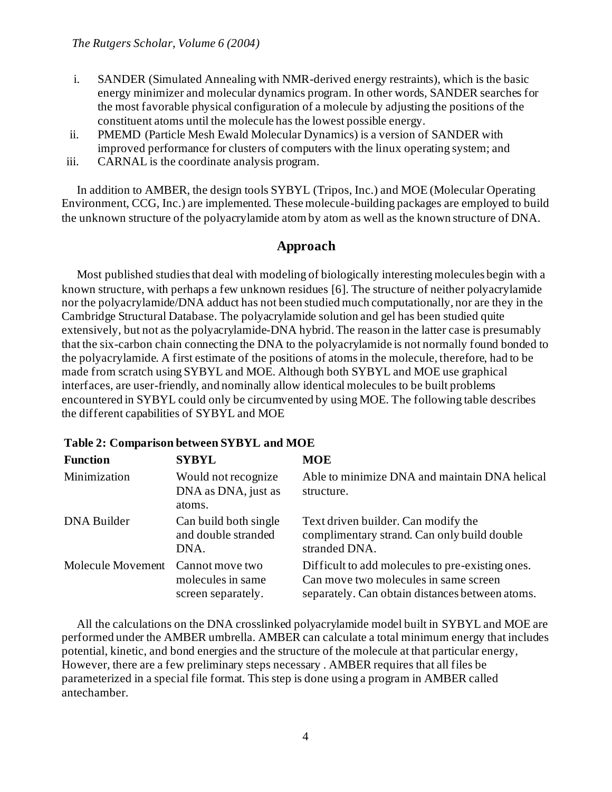- i. SANDER (Simulated Annealing with NMR-derived energy restraints), which is the basic energy minimizer and molecular dynamics program. In other words, SANDER searches for the most favorable physical configuration of a molecule by adjusting the positions of the constituent atoms until the molecule has the lowest possible energy.
- ii. PMEMD (Particle Mesh Ewald Molecular Dynamics) is a version of SANDER with improved performance for clusters of computers with the linux operating system; and
- iii. CARNAL is the coordinate analysis program.

In addition to AMBER, the design tools SYBYL (Tripos, Inc.) and MOE (Molecular Operating Environment, CCG, Inc.) are implemented. These molecule-building packages are employed to build the unknown structure of the polyacrylamide atom by atom as well as the known structure of DNA.

# **Approach**

Most published studies that deal with modeling of biologically interesting molecules begin with a known structure, with perhaps a few unknown residues [6]. The structure of neither polyacrylamide nor the polyacrylamide/DNA adduct has not been studied much computationally, nor are they in the Cambridge Structural Database. The polyacrylamide solution and gel has been studied quite extensively, but not as the polyacrylamide-DNA hybrid. The reason in the latter case is presumably that the six-carbon chain connecting the DNA to the polyacrylamide is not normally found bonded to the polyacrylamide. A first estimate of the positions of atoms in the molecule, therefore, had to be made from scratch using SYBYL and MOE. Although both SYBYL and MOE use graphical interfaces, are user-friendly, and nominally allow identical molecules to be built problems encountered in SYBYL could only be circumvented by using MOE. The following table describes the different capabilities of SYBYL and MOE

### **Table 2: Comparison between SYBYL and MOE**

| <b>Function</b>   | <b>SYBYL</b>                                               | <b>MOE</b>                                                                                                                                   |
|-------------------|------------------------------------------------------------|----------------------------------------------------------------------------------------------------------------------------------------------|
| Minimization      | Would not recognize<br>DNA as DNA, just as<br>atoms.       | Able to minimize DNA and maintain DNA helical<br>structure.                                                                                  |
| DNA Builder       | Can build both single<br>and double stranded<br>DNA.       | Text driven builder. Can modify the<br>complimentary strand. Can only build double<br>stranded DNA.                                          |
| Molecule Movement | Cannot move two<br>molecules in same<br>screen separately. | Difficult to add molecules to pre-existing ones.<br>Can move two molecules in same screen<br>separately. Can obtain distances between atoms. |

All the calculations on the DNA crosslinked polyacrylamide model built in SYBYL and MOE are performed under the AMBER umbrella. AMBER can calculate a total minimum energy that includes potential, kinetic, and bond energies and the structure of the molecule at that particular energy, However, there are a few preliminary steps necessary . AMBER requires that all files be parameterized in a special file format. This step is done using a program in AMBER called antechamber.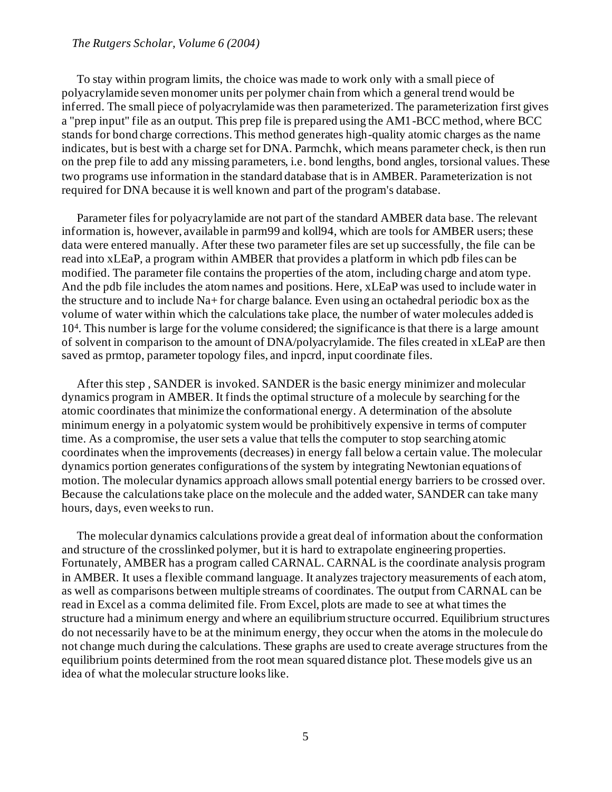#### *The Rutgers Scholar, Volume 6 (2004)*

To stay within program limits, the choice was made to work only with a small piece of polyacrylamide seven monomer units per polymer chain from which a general trend would be inferred. The small piece of polyacrylamide was then parameterized. The parameterization first gives a "prep input" file as an output. This prep file is prepared using the AM1-BCC method, where BCC stands for bond charge corrections. This method generates high-quality atomic charges as the name indicates, but is best with a charge set for DNA. Parmchk, which means parameter check, is then run on the prep file to add any missing parameters, i.e. bond lengths, bond angles, torsional values. These two programs use information in the standard database that is in AMBER. Parameterization is not required for DNA because it is well known and part of the program's database.

Parameter files for polyacrylamide are not part of the standard AMBER data base. The relevant information is, however, available in parm99 and koll94, which are tools for AMBER users; these data were entered manually. After these two parameter files are set up successfully, the file can be read into xLEaP, a program within AMBER that provides a platform in which pdb files can be modified. The parameter file contains the properties of the atom, including charge and atom type. And the pdb file includes the atom names and positions. Here, xLEaP was used to include water in the structure and to include Na+ for charge balance. Even using an octahedral periodic box as the volume of water within which the calculations take place, the number of water molecules added is 10<sup>4</sup> . This number is large for the volume considered; the significance is that there is a large amount of solvent in comparison to the amount of DNA/polyacrylamide. The files created in xLEaP are then saved as prmtop, parameter topology files, and inpcrd, input coordinate files.

After this step , SANDER is invoked. SANDER is the basic energy minimizer and molecular dynamics program in AMBER. It finds the optimal structure of a molecule by searching for the atomic coordinates that minimize the conformational energy. A determination of the absolute minimum energy in a polyatomic system would be prohibitively expensive in terms of computer time. As a compromise, the user sets a value that tells the computer to stop searching atomic coordinates when the improvements (decreases) in energy fall below a certain value. The molecular dynamics portion generates configurations of the system by integrating Newtonian equations of motion. The molecular dynamics approach allows small potential energy barriers to be crossed over. Because the calculations take place on the molecule and the added water, SANDER can take many hours, days, even weeks to run.

The molecular dynamics calculations provide a great deal of information about the conformation and structure of the crosslinked polymer, but it is hard to extrapolate engineering properties. Fortunately, AMBER has a program called CARNAL. CARNAL is the coordinate analysis program in AMBER. It uses a flexible command language. It analyzes trajectory measurements of each atom, as well as comparisons between multiple streams of coordinates. The output from CARNAL can be read in Excel as a comma delimited file. From Excel, plots are made to see at what times the structure had a minimum energy and where an equilibrium structure occurred. Equilibrium structures do not necessarily have to be at the minimum energy, they occur when the atoms in the molecule do not change much during the calculations. These graphs are used to create average structures from the equilibrium points determined from the root mean squared distance plot. These models give us an idea of what the molecular structure looks like.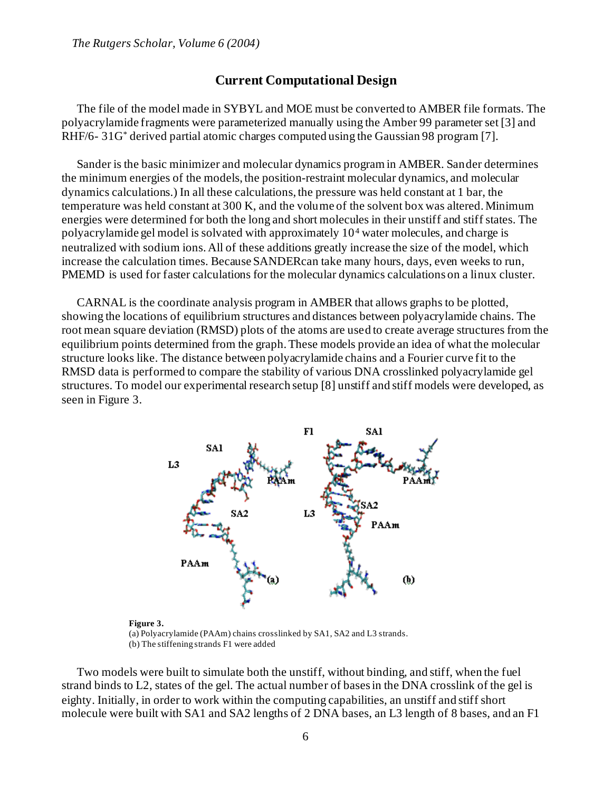### **Current Computational Design**

The file of the model made in SYBYL and MOE must be converted to AMBER file formats. The polyacrylamide fragments were parameterized manually using the Amber 99 parameter set [3] and RHF/6- 31G\* derived partial atomic charges computed using the Gaussian 98 program [7].

Sander is the basic minimizer and molecular dynamics program in AMBER. Sander determines the minimum energies of the models, the position-restraint molecular dynamics, and molecular dynamics calculations.) In all these calculations, the pressure was held constant at 1 bar, the temperature was held constant at 300 K, and the volume of the solvent box was altered. Minimum energies were determined for both the long and short molecules in their unstiff and stiff states. The polyacrylamide gel model is solvated with approximately 10<sup>4</sup> water molecules, and charge is neutralized with sodium ions. All of these additions greatly increase the size of the model, which increase the calculation times. Because SANDERcan take many hours, days, even weeks to run, PMEMD is used for faster calculations for the molecular dynamics calculations on a linux cluster.

CARNAL is the coordinate analysis program in AMBER that allows graphs to be plotted, showing the locations of equilibrium structures and distances between polyacrylamide chains. The root mean square deviation (RMSD) plots of the atoms are used to create average structures from the equilibrium points determined from the graph. These models provide an idea of what the molecular structure looks like. The distance between polyacrylamide chains and a Fourier curve fit to the RMSD data is performed to compare the stability of various DNA crosslinked polyacrylamide gel structures. To model our experimental research setup [8] unstiff and stiff models were developed, as seen in Figure 3.



**Figure 3.** (a) Polyacrylamide (PAAm) chains crosslinked by SA1, SA2 and L3 strands. (b) The stiffening strands F1 were added

Two models were built to simulate both the unstiff, without binding, and stiff, when the fuel strand binds to L2, states of the gel. The actual number of bases in the DNA crosslink of the gel is eighty. Initially, in order to work within the computing capabilities, an unstiff and stiff short molecule were built with SA1 and SA2 lengths of 2 DNA bases, an L3 length of 8 bases, and an F1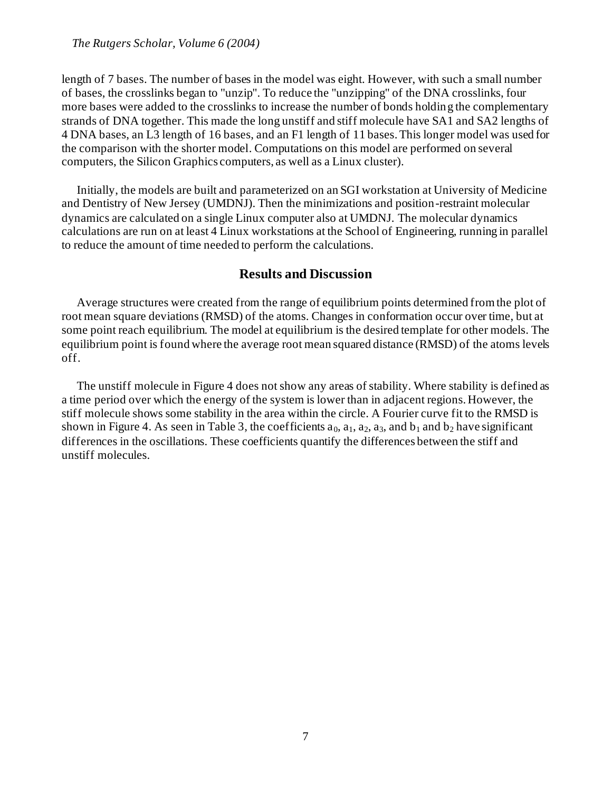#### *The Rutgers Scholar, Volume 6 (2004)*

length of 7 bases. The number of bases in the model was eight. However, with such a small number of bases, the crosslinks began to "unzip". To reduce the "unzipping" of the DNA crosslinks, four more bases were added to the crosslinks to increase the number of bonds holding the complementary strands of DNA together. This made the long unstiff and stiff molecule have SA1 and SA2 lengths of 4 DNA bases, an L3 length of 16 bases, and an F1 length of 11 bases. This longer model was used for the comparison with the shorter model. Computations on this model are performed on several computers, the Silicon Graphics computers, as well as a Linux cluster).

Initially, the models are built and parameterized on an SGI workstation at University of Medicine and Dentistry of New Jersey (UMDNJ). Then the minimizations and position-restraint molecular dynamics are calculated on a single Linux computer also at UMDNJ. The molecular dynamics calculations are run on at least 4 Linux workstations at the School of Engineering, running in parallel to reduce the amount of time needed to perform the calculations.

### **Results and Discussion**

Average structures were created from the range of equilibrium points determined from the plot of root mean square deviations (RMSD) of the atoms. Changes in conformation occur over time, but at some point reach equilibrium. The model at equilibrium is the desired template for other models. The equilibrium point is found where the average root mean squared distance (RMSD) of the atoms levels off.

The unstiff molecule in Figure 4 does not show any areas of stability. Where stability is defined as a time period over which the energy of the system is lower than in adjacent regions. However, the stiff molecule shows some stability in the area within the circle. A Fourier curve fit to the RMSD is shown in Figure 4. As seen in Table 3, the coefficients  $a_0$ ,  $a_1$ ,  $a_2$ ,  $a_3$ , and  $b_1$  and  $b_2$  have significant differences in the oscillations. These coefficients quantify the differences between the stiff and unstiff molecules.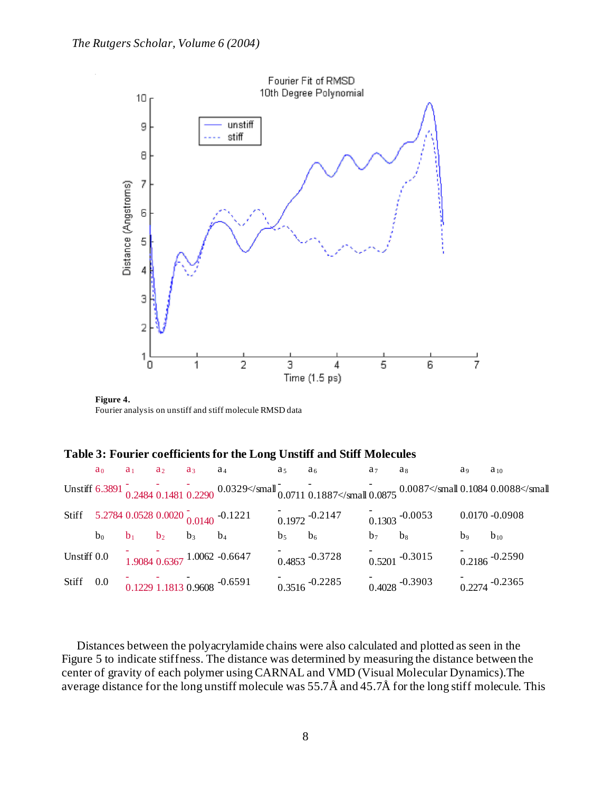

**Figure 4.** Fourier analysis on unstiff and stiff molecule RMSD data

#### **Table 3: Fourier coefficients for the Long Unstiff and Stiff Molecules**

|             |             |       |             | $a_0$ $a_1$ $a_2$ $a_3$ $a_4$ $a_5$ $a_6$                          |             |                                                                                    | $a_7$ $a_8$ |                            | a <sub>9</sub> | $a_{10}$          |
|-------------|-------------|-------|-------------|--------------------------------------------------------------------|-------------|------------------------------------------------------------------------------------|-------------|----------------------------|----------------|-------------------|
|             |             |       |             |                                                                    |             | Unstiff 6.3891 0.2484 0.1481 0.2290 0.0329 <td></td> <td></td> <td></td> <td></td> |             |                            |                |                   |
|             |             |       |             | Stiff 5.2784 0.0528 0.0020 $_{0.0140}^{-}$ -0.1221                 |             | $0.1972 - 0.2147$                                                                  |             | $0.1303 - 0.0053$          |                | $0.0170 - 0.0908$ |
|             | $b_0$ $b_1$ | $b_2$ | $b_3$ $b_4$ |                                                                    | $b_5$ $b_6$ |                                                                                    | $b_7$ $b_8$ |                            | b <sub>9</sub> | $b_{10}$          |
| Unstiff 0.0 |             |       |             | $\frac{1}{1.9084} \frac{1}{0.6367} \frac{1.0062 - 0.6647}{1.0062}$ |             | $0.4853 - 0.3728$                                                                  |             | $\frac{1}{0.5201}$ -0.3015 |                | $0.2186 - 0.2590$ |
| Stiff 0.0   |             |       |             | $0.1229$ 1.1813 0.9608 $-0.6591$                                   |             | $0.3516 - 0.2285$                                                                  |             | $0.4028 - 0.3903$          |                | $0.2274 - 0.2365$ |

Distances between the polyacrylamide chains were also calculated and plotted as seen in the Figure 5 to indicate stiffness. The distance was determined by measuring the distance between the center of gravity of each polymer using CARNAL and VMD (Visual Molecular Dynamics).The average distance for the long unstiff molecule was 55.7Å and 45.7Å for the long stiff molecule. This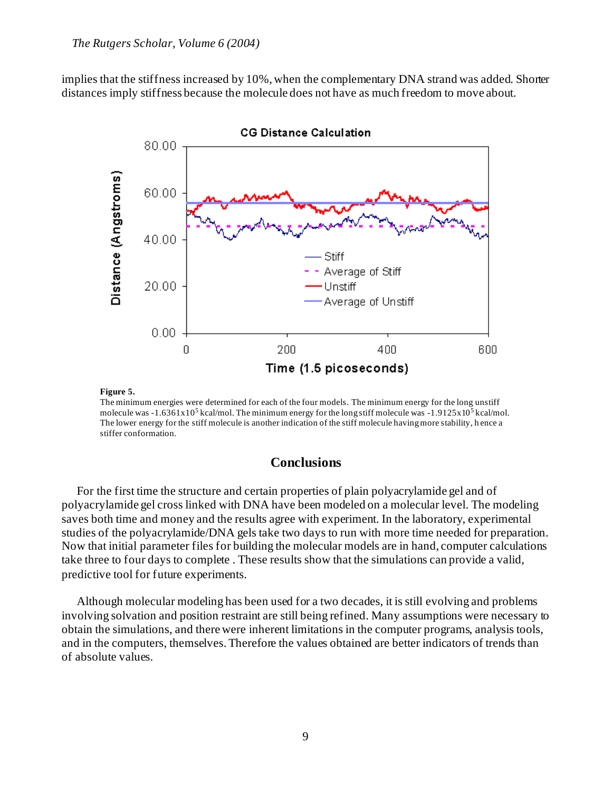implies that the stiffness increased by 10%, when the complementary DNA strand was added. Shorter distances imply stiffness because the molecule does not have as much freedom to move about.



**Figure 5.**

The minimum energies were determined for each of the four models. The minimum energy for the long unstiff molecule was  $-1.6361x10^5$  kcal/mol. The minimum energy for the long stiff molecule was  $-1.9125x10^5$  kcal/mol. The lower energy for the stiff molecule is another indication of the stiff molecule having more stability, h ence a stiffer conformation.

# **Conclusions**

For the first time the structure and certain properties of plain polyacrylamide gel and of polyacrylamide gel cross linked with DNA have been modeled on a molecular level. The modeling saves both time and money and the results agree with experiment. In the laboratory, experimental studies of the polyacrylamide/DNA gels take two days to run with more time needed for preparation. Now that initial parameter files for building the molecular models are in hand, computer calculations take three to four days to complete . These results show that the simulations can provide a valid, predictive tool for future experiments.

Although molecular modeling has been used for a two decades, it is still evolving and problems involving solvation and position restraint are still being refined. Many assumptions were necessary to obtain the simulations, and there were inherent limitations in the computer programs, analysis tools, and in the computers, themselves. Therefore the values obtained are better indicators of trends than of absolute values.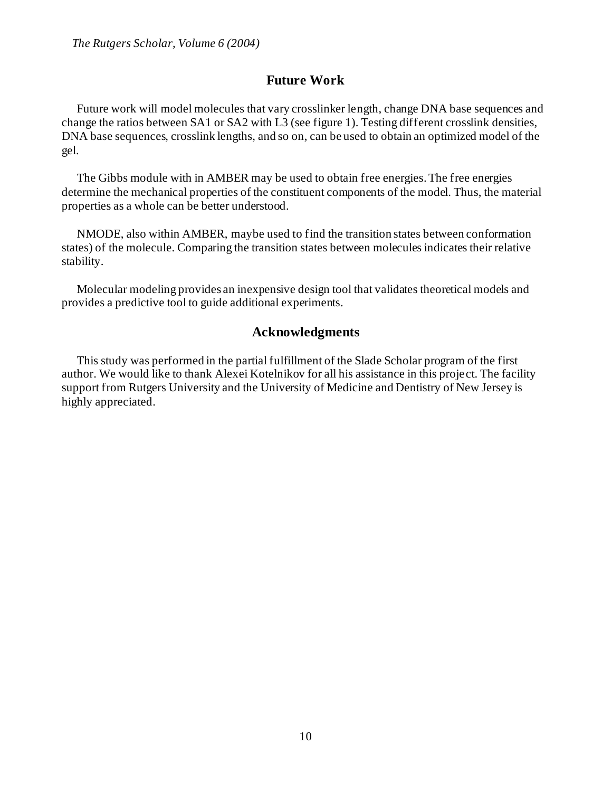# **Future Work**

Future work will model molecules that vary crosslinker length, change DNA base sequences and change the ratios between SA1 or SA2 with L3 (see figure 1). Testing different crosslink densities, DNA base sequences, crosslink lengths, and so on, can be used to obtain an optimized model of the gel.

The Gibbs module with in AMBER may be used to obtain free energies. The free energies determine the mechanical properties of the constituent components of the model. Thus, the material properties as a whole can be better understood.

NMODE, also within AMBER, maybe used to find the transition states between conformation states) of the molecule. Comparing the transition states between molecules indicates their relative stability.

Molecular modeling provides an inexpensive design tool that validates theoretical models and provides a predictive tool to guide additional experiments.

# **Acknowledgments**

This study was performed in the partial fulfillment of the Slade Scholar program of the first author. We would like to thank Alexei Kotelnikov for all his assistance in this project. The facility support from Rutgers University and the University of Medicine and Dentistry of New Jersey is highly appreciated.